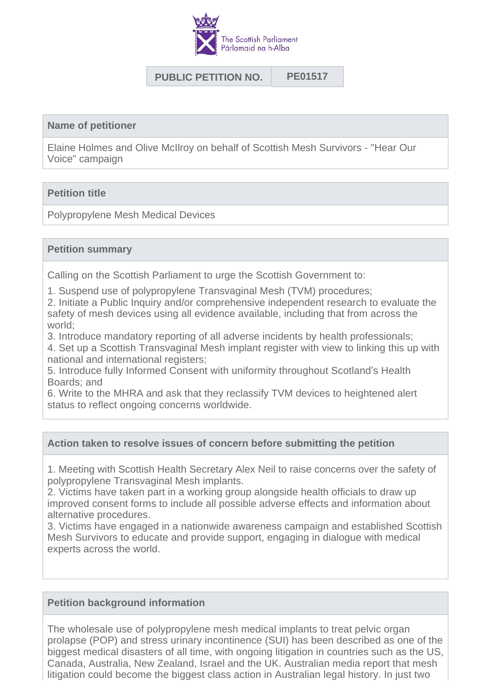

# **PUBLIC PETITION NO. PE01517**

#### **Name of petitioner**

Elaine Holmes and Olive McIlroy on behalf of Scottish Mesh Survivors - "Hear Our Voice" campaign

### **Petition title**

Polypropylene Mesh Medical Devices

#### **Petition summary**

Calling on the Scottish Parliament to urge the Scottish Government to:

1. Suspend use of polypropylene Transvaginal Mesh (TVM) procedures;

2. Initiate a Public Inquiry and/or comprehensive independent research to evaluate the safety of mesh devices using all evidence available, including that from across the world;

3. Introduce mandatory reporting of all adverse incidents by health professionals;

4. Set up a Scottish Transvaginal Mesh implant register with view to linking this up with national and international registers;

5. Introduce fully Informed Consent with uniformity throughout Scotland's Health Boards; and

6. Write to the MHRA and ask that they reclassify TVM devices to heightened alert status to reflect ongoing concerns worldwide.

#### **Action taken to resolve issues of concern before submitting the petition**

1. Meeting with Scottish Health Secretary Alex Neil to raise concerns over the safety of polypropylene Transvaginal Mesh implants.

2. Victims have taken part in a working group alongside health officials to draw up improved consent forms to include all possible adverse effects and information about alternative procedures.

3. Victims have engaged in a nationwide awareness campaign and established Scottish Mesh Survivors to educate and provide support, engaging in dialogue with medical experts across the world.

#### **Petition background information**

The wholesale use of polypropylene mesh medical implants to treat pelvic organ prolapse (POP) and stress urinary incontinence (SUI) has been described as one of the biggest medical disasters of all time, with ongoing litigation in countries such as the US, Canada, Australia, New Zealand, Israel and the UK. Australian media report that mesh litigation could become the biggest class action in Australian legal history. In just two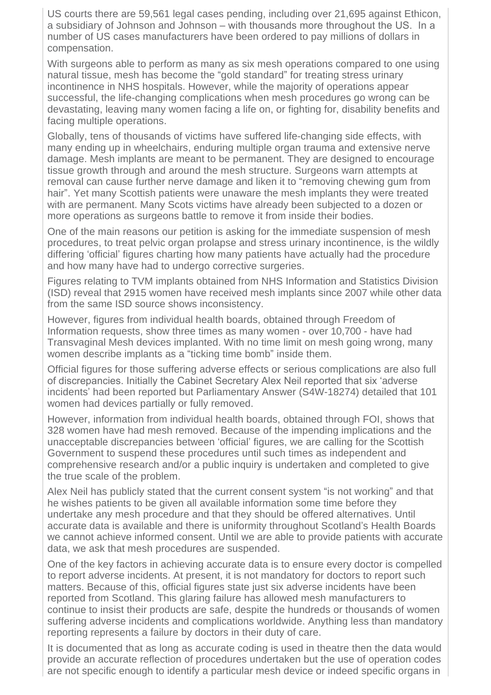US courts there are 59,561 legal cases pending, including over 21,695 against Ethicon, a subsidiary of Johnson and Johnson – with thousands more throughout the US. In a number of US cases manufacturers have been ordered to pay millions of dollars in compensation.

With surgeons able to perform as many as six mesh operations compared to one using natural tissue, mesh has become the "gold standard" for treating stress urinary incontinence in NHS hospitals. However, while the majority of operations appear successful, the life-changing complications when mesh procedures go wrong can be devastating, leaving many women facing a life on, or fighting for, disability benefits and facing multiple operations.

Globally, tens of thousands of victims have suffered life-changing side effects, with many ending up in wheelchairs, enduring multiple organ trauma and extensive nerve damage. Mesh implants are meant to be permanent. They are designed to encourage tissue growth through and around the mesh structure. Surgeons warn attempts at removal can cause further nerve damage and liken it to "removing chewing gum from hair". Yet many Scottish patients were unaware the mesh implants they were treated with are permanent. Many Scots victims have already been subjected to a dozen or more operations as surgeons battle to remove it from inside their bodies.

One of the main reasons our petition is asking for the immediate suspension of mesh procedures, to treat pelvic organ prolapse and stress urinary incontinence, is the wildly differing 'official' figures charting how many patients have actually had the procedure and how many have had to undergo corrective surgeries.

Figures relating to TVM implants obtained from NHS Information and Statistics Division (ISD) reveal that 2915 women have received mesh implants since 2007 while other data from the same ISD source shows inconsistency.

However, figures from individual health boards, obtained through Freedom of Information requests, show three times as many women - over 10,700 - have had Transvaginal Mesh devices implanted. With no time limit on mesh going wrong, many women describe implants as a "ticking time bomb" inside them.

Official figures for those suffering adverse effects or serious complications are also full of discrepancies. Initially the Cabinet Secretary Alex Neil reported that six 'adverse incidents' had been reported but Parliamentary Answer (S4W-18274) detailed that 101 women had devices partially or fully removed.

However, information from individual health boards, obtained through FOI, shows that 328 women have had mesh removed. Because of the impending implications and the unacceptable discrepancies between 'official' figures, we are calling for the Scottish Government to suspend these procedures until such times as independent and comprehensive research and/or a public inquiry is undertaken and completed to give the true scale of the problem.

Alex Neil has publicly stated that the current consent system "is not working" and that he wishes patients to be given all available information some time before they undertake any mesh procedure and that they should be offered alternatives. Until accurate data is available and there is uniformity throughout Scotland's Health Boards we cannot achieve informed consent. Until we are able to provide patients with accurate data, we ask that mesh procedures are suspended.

One of the key factors in achieving accurate data is to ensure every doctor is compelled to report adverse incidents. At present, it is not mandatory for doctors to report such matters. Because of this, official figures state just six adverse incidents have been reported from Scotland. This glaring failure has allowed mesh manufacturers to continue to insist their products are safe, despite the hundreds or thousands of women suffering adverse incidents and complications worldwide. Anything less than mandatory reporting represents a failure by doctors in their duty of care.

It is documented that as long as accurate coding is used in theatre then the data would provide an accurate reflection of procedures undertaken but the use of operation codes are not specific enough to identify a particular mesh device or indeed specific organs in